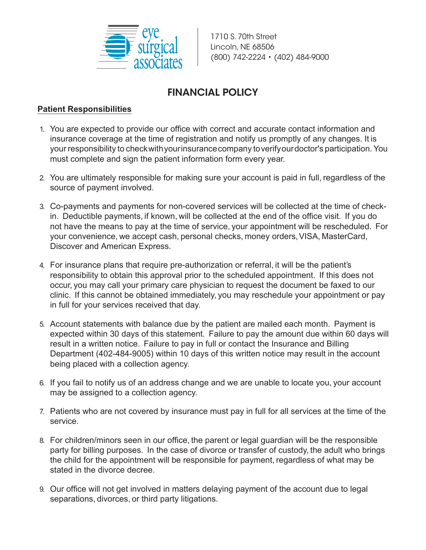

1710 S. 70th Street Lincoln, NE 68506 (800) 742-2224 • (402) 484-9000

## FINANCIAL POLICY

## **Patient Responsibilities**

- 1. You are expected to provide our office with correct and accurate contact information and insurance coverage at the time of registration and notify us promptly of any changes. It is your responsibility to check with your insurance company to verify our doctor's participation. You must complete and sign the patient information form every year.
- 2. You are ultimately responsible for making sure your account is paid in full, regardless of the source of payment involved.
- 3. Co-payments and payments for non-covered services will be collected at the time of checkin. Deductible payments, if known, will be collected at the end of the office visit. If you do not have the means to pay at the time of service, your appointment will be rescheduled. For your convenience, we accept cash, personal checks, money orders, VISA, MasterCard, Discover and American Express.
- 4. For insurance plans that require pre-authorization or referral, it will be the patient's responsibility to obtain this approval prior to the scheduled appointment. If this does not occur, you may call your primary care physician to request the document be faxed to our clinic. If this cannot be obtained immediately, you may reschedule your appointment or pay in full for your services received that day.
- 5. Account statements with balance due by the patient are mailed each month. Payment is expected within 30 days of this statement. Failure to pay the amount due within 60 days will result in a written notice. Failure to pay in full or contact the Insurance and Billing Department (402-484-9005) within 10 days of this written notice may result in the account being placed with a collection agency.
- 6. If you fail to notify us of an address change and we are unable to locate you, your account may be assigned to a collection agency.
- 7. Patients who are not covered by insurance must pay in full for all services at the time of the service.
- 8. For children/minors seen in our office, the parent or legal guardian will be the responsible party for billing purposes. In the case of divorce or transfer of custody, the adult who brings the child for the appointment will be responsible for payment, regardless of what may be stated in the divorce decree.
- 9. Our office will not get involved in matters delaying payment of the account due to legal separations, divorces, or third party litigations.